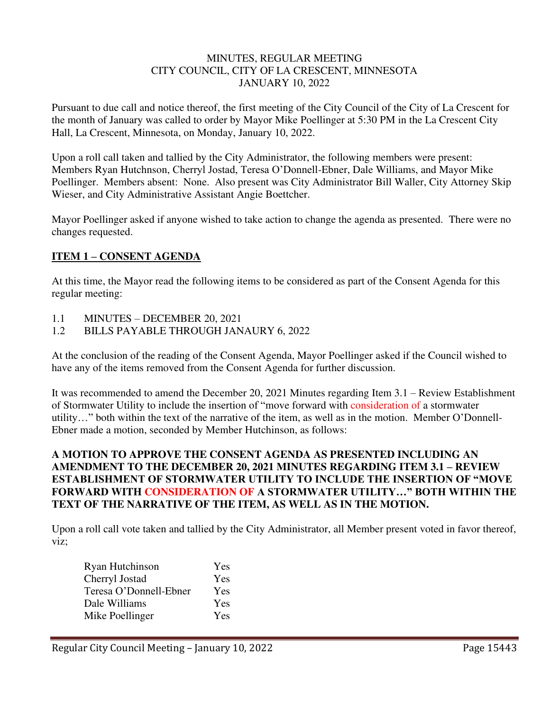### MINUTES, REGULAR MEETING CITY COUNCIL, CITY OF LA CRESCENT, MINNESOTA JANUARY 10, 2022

Pursuant to due call and notice thereof, the first meeting of the City Council of the City of La Crescent for the month of January was called to order by Mayor Mike Poellinger at 5:30 PM in the La Crescent City Hall, La Crescent, Minnesota, on Monday, January 10, 2022.

Upon a roll call taken and tallied by the City Administrator, the following members were present: Members Ryan Hutchnson, Cherryl Jostad, Teresa O'Donnell-Ebner, Dale Williams, and Mayor Mike Poellinger. Members absent: None. Also present was City Administrator Bill Waller, City Attorney Skip Wieser, and City Administrative Assistant Angie Boettcher.

Mayor Poellinger asked if anyone wished to take action to change the agenda as presented. There were no changes requested.

## **ITEM 1 – CONSENT AGENDA**

At this time, the Mayor read the following items to be considered as part of the Consent Agenda for this regular meeting:

- 1.1 MINUTES DECEMBER 20, 2021
- 1.2 BILLS PAYABLE THROUGH JANAURY 6, 2022

At the conclusion of the reading of the Consent Agenda, Mayor Poellinger asked if the Council wished to have any of the items removed from the Consent Agenda for further discussion.

It was recommended to amend the December 20, 2021 Minutes regarding Item 3.1 – Review Establishment of Stormwater Utility to include the insertion of "move forward with consideration of a stormwater utility…" both within the text of the narrative of the item, as well as in the motion. Member O'Donnell-Ebner made a motion, seconded by Member Hutchinson, as follows:

## **A MOTION TO APPROVE THE CONSENT AGENDA AS PRESENTED INCLUDING AN AMENDMENT TO THE DECEMBER 20, 2021 MINUTES REGARDING ITEM 3.1 – REVIEW ESTABLISHMENT OF STORMWATER UTILITY TO INCLUDE THE INSERTION OF "MOVE FORWARD WITH CONSIDERATION OF A STORMWATER UTILITY…" BOTH WITHIN THE TEXT OF THE NARRATIVE OF THE ITEM, AS WELL AS IN THE MOTION.**

Upon a roll call vote taken and tallied by the City Administrator, all Member present voted in favor thereof, viz;

| Ryan Hutchinson        | Yes        |
|------------------------|------------|
| Cherryl Jostad         | Yes        |
| Teresa O'Donnell-Ebner | Yes        |
| Dale Williams          | Yes        |
| Mike Poellinger        | <b>Yes</b> |
|                        |            |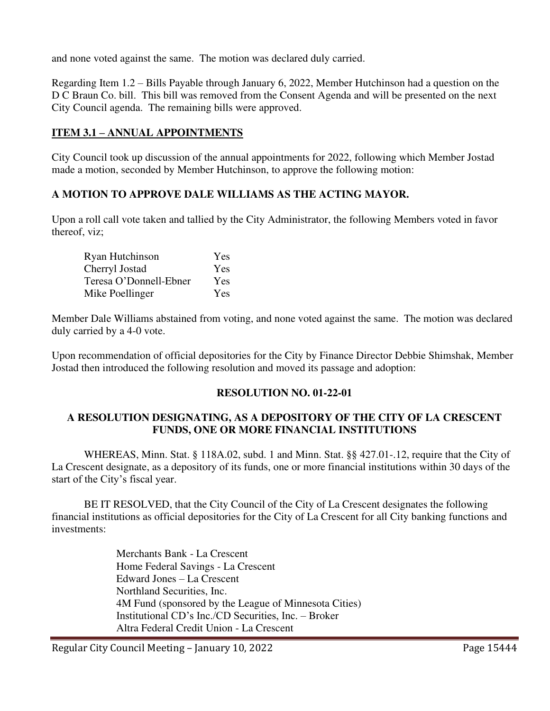and none voted against the same. The motion was declared duly carried.

Regarding Item 1.2 – Bills Payable through January 6, 2022, Member Hutchinson had a question on the D C Braun Co. bill. This bill was removed from the Consent Agenda and will be presented on the next City Council agenda. The remaining bills were approved.

# **ITEM 3.1 – ANNUAL APPOINTMENTS**

City Council took up discussion of the annual appointments for 2022, following which Member Jostad made a motion, seconded by Member Hutchinson, to approve the following motion:

## **A MOTION TO APPROVE DALE WILLIAMS AS THE ACTING MAYOR.**

Upon a roll call vote taken and tallied by the City Administrator, the following Members voted in favor thereof, viz;

| Ryan Hutchinson        | Yes |
|------------------------|-----|
| Cherryl Jostad         | Yes |
| Teresa O'Donnell-Ebner | Yes |
| Mike Poellinger        | Yes |

Member Dale Williams abstained from voting, and none voted against the same. The motion was declared duly carried by a 4-0 vote.

Upon recommendation of official depositories for the City by Finance Director Debbie Shimshak, Member Jostad then introduced the following resolution and moved its passage and adoption:

## **RESOLUTION NO. 01-22-01**

## **A RESOLUTION DESIGNATING, AS A DEPOSITORY OF THE CITY OF LA CRESCENT FUNDS, ONE OR MORE FINANCIAL INSTITUTIONS**

 WHEREAS, Minn. Stat. § 118A.02, subd. 1 and Minn. Stat. §§ 427.01-.12, require that the City of La Crescent designate, as a depository of its funds, one or more financial institutions within 30 days of the start of the City's fiscal year.

 BE IT RESOLVED, that the City Council of the City of La Crescent designates the following financial institutions as official depositories for the City of La Crescent for all City banking functions and investments:

> Merchants Bank - La Crescent Home Federal Savings - La Crescent Edward Jones – La Crescent Northland Securities, Inc. 4M Fund (sponsored by the League of Minnesota Cities) Institutional CD's Inc./CD Securities, Inc. – Broker Altra Federal Credit Union - La Crescent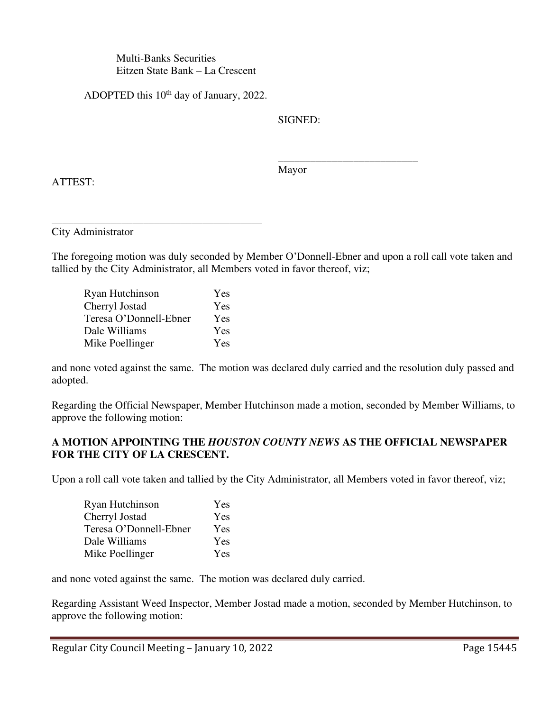Multi-Banks Securities Eitzen State Bank – La Crescent

ADOPTED this 10<sup>th</sup> day of January, 2022.

SIGNED:

Mayor

 $\frac{1}{\sqrt{2}}$  ,  $\frac{1}{\sqrt{2}}$  ,  $\frac{1}{\sqrt{2}}$  ,  $\frac{1}{\sqrt{2}}$  ,  $\frac{1}{\sqrt{2}}$  ,  $\frac{1}{\sqrt{2}}$  ,  $\frac{1}{\sqrt{2}}$  ,  $\frac{1}{\sqrt{2}}$  ,  $\frac{1}{\sqrt{2}}$  ,  $\frac{1}{\sqrt{2}}$  ,  $\frac{1}{\sqrt{2}}$  ,  $\frac{1}{\sqrt{2}}$  ,  $\frac{1}{\sqrt{2}}$  ,  $\frac{1}{\sqrt{2}}$  ,  $\frac{1}{\sqrt{2}}$ 

ATTEST:

\_\_\_\_\_\_\_\_\_\_\_\_\_\_\_\_\_\_\_\_\_\_\_\_\_\_\_\_\_\_\_\_\_\_\_\_\_\_\_ City Administrator

The foregoing motion was duly seconded by Member O'Donnell-Ebner and upon a roll call vote taken and tallied by the City Administrator, all Members voted in favor thereof, viz;

| Ryan Hutchinson        | Yes |
|------------------------|-----|
| Cherryl Jostad         | Yes |
| Teresa O'Donnell-Ebner | Yes |
| Dale Williams          | Yes |
| Mike Poellinger        | Yes |

and none voted against the same. The motion was declared duly carried and the resolution duly passed and adopted.

Regarding the Official Newspaper, Member Hutchinson made a motion, seconded by Member Williams, to approve the following motion:

# **A MOTION APPOINTING THE** *HOUSTON COUNTY NEWS* **AS THE OFFICIAL NEWSPAPER FOR THE CITY OF LA CRESCENT.**

Upon a roll call vote taken and tallied by the City Administrator, all Members voted in favor thereof, viz;

| Ryan Hutchinson        | Yes |
|------------------------|-----|
| Cherryl Jostad         | Yes |
| Teresa O'Donnell-Ebner | Yes |
| Dale Williams          | Yes |
| Mike Poellinger        | Yes |

and none voted against the same. The motion was declared duly carried.

Regarding Assistant Weed Inspector, Member Jostad made a motion, seconded by Member Hutchinson, to approve the following motion: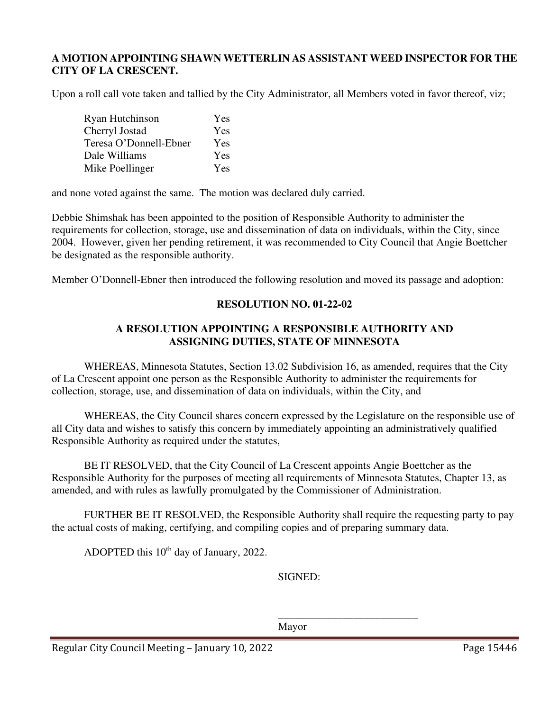### **A MOTION APPOINTING SHAWN WETTERLIN AS ASSISTANT WEED INSPECTOR FOR THE CITY OF LA CRESCENT.**

Upon a roll call vote taken and tallied by the City Administrator, all Members voted in favor thereof, viz;

| Ryan Hutchinson        | Yes        |
|------------------------|------------|
| Cherryl Jostad         | Yes        |
| Teresa O'Donnell-Ebner | Yes        |
| Dale Williams          | <b>Yes</b> |
| Mike Poellinger        | Yes        |

and none voted against the same. The motion was declared duly carried.

Debbie Shimshak has been appointed to the position of Responsible Authority to administer the requirements for collection, storage, use and dissemination of data on individuals, within the City, since 2004. However, given her pending retirement, it was recommended to City Council that Angie Boettcher be designated as the responsible authority.

Member O'Donnell-Ebner then introduced the following resolution and moved its passage and adoption:

### **RESOLUTION NO. 01-22-02**

## **A RESOLUTION APPOINTING A RESPONSIBLE AUTHORITY AND ASSIGNING DUTIES, STATE OF MINNESOTA**

 WHEREAS, Minnesota Statutes, Section 13.02 Subdivision 16, as amended, requires that the City of La Crescent appoint one person as the Responsible Authority to administer the requirements for collection, storage, use, and dissemination of data on individuals, within the City, and

 WHEREAS, the City Council shares concern expressed by the Legislature on the responsible use of all City data and wishes to satisfy this concern by immediately appointing an administratively qualified Responsible Authority as required under the statutes,

 BE IT RESOLVED, that the City Council of La Crescent appoints Angie Boettcher as the Responsible Authority for the purposes of meeting all requirements of Minnesota Statutes, Chapter 13, as amended, and with rules as lawfully promulgated by the Commissioner of Administration.

 FURTHER BE IT RESOLVED, the Responsible Authority shall require the requesting party to pay the actual costs of making, certifying, and compiling copies and of preparing summary data.

ADOPTED this  $10^{th}$  day of January, 2022.

SIGNED:

 $\frac{1}{\sqrt{2}}$  ,  $\frac{1}{\sqrt{2}}$  ,  $\frac{1}{\sqrt{2}}$  ,  $\frac{1}{\sqrt{2}}$  ,  $\frac{1}{\sqrt{2}}$  ,  $\frac{1}{\sqrt{2}}$  ,  $\frac{1}{\sqrt{2}}$  ,  $\frac{1}{\sqrt{2}}$  ,  $\frac{1}{\sqrt{2}}$  ,  $\frac{1}{\sqrt{2}}$  ,  $\frac{1}{\sqrt{2}}$  ,  $\frac{1}{\sqrt{2}}$  ,  $\frac{1}{\sqrt{2}}$  ,  $\frac{1}{\sqrt{2}}$  ,  $\frac{1}{\sqrt{2}}$ 

Mayor

Regular City Council Meeting – January 10, 2022 Page 15446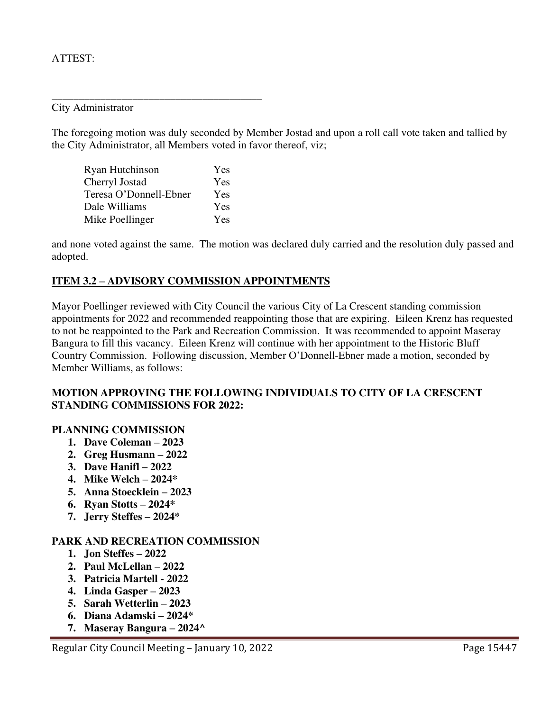### ATTEST:

City Administrator

The foregoing motion was duly seconded by Member Jostad and upon a roll call vote taken and tallied by the City Administrator, all Members voted in favor thereof, viz;

| Ryan Hutchinson        | Yes        |
|------------------------|------------|
| Cherryl Jostad         | Yes        |
| Teresa O'Donnell-Ebner | <b>Yes</b> |
| Dale Williams          | Yes        |
| Mike Poellinger        | Yes        |

\_\_\_\_\_\_\_\_\_\_\_\_\_\_\_\_\_\_\_\_\_\_\_\_\_\_\_\_\_\_\_\_\_\_\_\_\_\_\_

and none voted against the same. The motion was declared duly carried and the resolution duly passed and adopted.

### **ITEM 3.2 – ADVISORY COMMISSION APPOINTMENTS**

Mayor Poellinger reviewed with City Council the various City of La Crescent standing commission appointments for 2022 and recommended reappointing those that are expiring. Eileen Krenz has requested to not be reappointed to the Park and Recreation Commission. It was recommended to appoint Maseray Bangura to fill this vacancy. Eileen Krenz will continue with her appointment to the Historic Bluff Country Commission. Following discussion, Member O'Donnell-Ebner made a motion, seconded by Member Williams, as follows:

### **MOTION APPROVING THE FOLLOWING INDIVIDUALS TO CITY OF LA CRESCENT STANDING COMMISSIONS FOR 2022:**

#### **PLANNING COMMISSION**

- **1. Dave Coleman – 2023**
- **2. Greg Husmann – 2022**
- **3. Dave Hanifl – 2022**
- **4. Mike Welch – 2024\***
- **5. Anna Stoecklein – 2023**
- **6. Ryan Stotts – 2024\***
- **7. Jerry Steffes – 2024\***

#### **PARK AND RECREATION COMMISSION**

- **1. Jon Steffes – 2022**
- **2. Paul McLellan – 2022**
- **3. Patricia Martell 2022**
- **4. Linda Gasper – 2023**
- **5. Sarah Wetterlin – 2023**
- **6. Diana Adamski – 2024\***
- **7. Maseray Bangura – 2024^**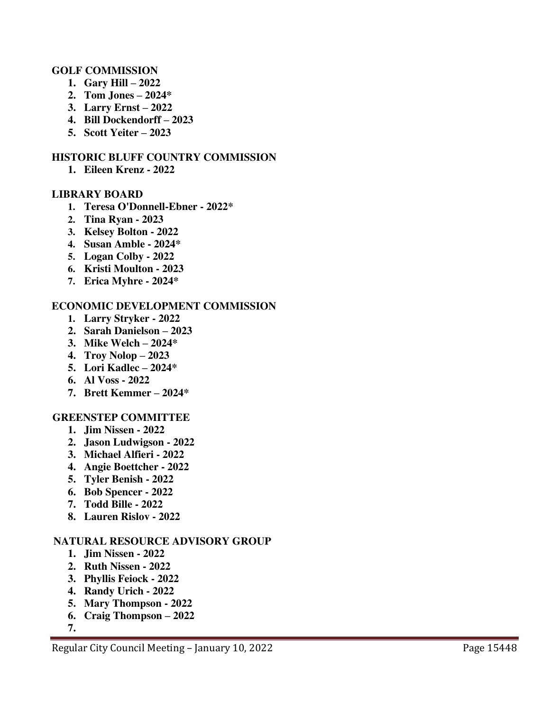### **GOLF COMMISSION**

- **1. Gary Hill – 2022**
- **2. Tom Jones – 2024\***
- **3. Larry Ernst – 2022**
- **4. Bill Dockendorff – 2023**
- **5. Scott Yeiter – 2023**

#### **HISTORIC BLUFF COUNTRY COMMISSION**

**1. Eileen Krenz - 2022** 

#### **LIBRARY BOARD**

- **1. Teresa O'Donnell-Ebner 2022\***
- **2. Tina Ryan 2023**
- **3. Kelsey Bolton 2022**
- **4. Susan Amble 2024\***
- **5. Logan Colby 2022**
- **6. Kristi Moulton 2023**
- **7. Erica Myhre 2024\***

### **ECONOMIC DEVELOPMENT COMMISSION**

- **1. Larry Stryker 2022**
- **2. Sarah Danielson – 2023**
- **3. Mike Welch – 2024\***
- **4. Troy Nolop – 2023**
- **5. Lori Kadlec – 2024\***
- **6. Al Voss 2022**
- **7. Brett Kemmer – 2024\***

#### **GREENSTEP COMMITTEE**

- **1. Jim Nissen 2022**
- **2. Jason Ludwigson 2022**
- **3. Michael Alfieri 2022**
- **4. Angie Boettcher 2022**
- **5. Tyler Benish 2022**
- **6. Bob Spencer 2022**
- **7. Todd Bille 2022**
- **8. Lauren Rislov 2022**

## **NATURAL RESOURCE ADVISORY GROUP**

- **1. Jim Nissen 2022**
- **2. Ruth Nissen 2022**
- **3. Phyllis Feiock 2022**
- **4. Randy Urich 2022**
- **5. Mary Thompson 2022**
- **6. Craig Thompson – 2022**

**7.**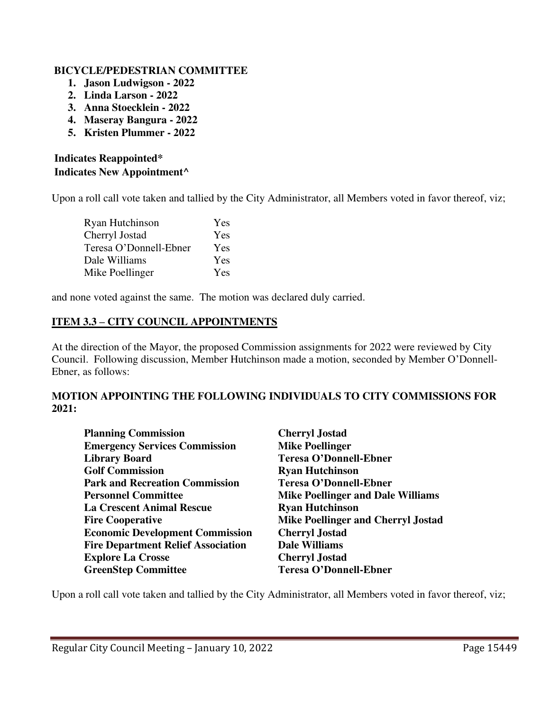## **BICYCLE/PEDESTRIAN COMMITTEE**

- **1. Jason Ludwigson 2022**
- **2. Linda Larson 2022**
- **3. Anna Stoecklein 2022**
- **4. Maseray Bangura 2022**
- **5. Kristen Plummer 2022**

# **Indicates Reappointed\* Indicates New Appointment^**

Upon a roll call vote taken and tallied by the City Administrator, all Members voted in favor thereof, viz;

| Ryan Hutchinson        | Yes |
|------------------------|-----|
| Cherryl Jostad         | Yes |
| Teresa O'Donnell-Ebner | Yes |
| Dale Williams          | Yes |
| Mike Poellinger        | Yes |

and none voted against the same. The motion was declared duly carried.

## **ITEM 3.3 – CITY COUNCIL APPOINTMENTS**

At the direction of the Mayor, the proposed Commission assignments for 2022 were reviewed by City Council. Following discussion, Member Hutchinson made a motion, seconded by Member O'Donnell-Ebner, as follows:

## **MOTION APPOINTING THE FOLLOWING INDIVIDUALS TO CITY COMMISSIONS FOR 2021:**

| <b>Planning Commission</b>                | <b>Cherryl Jostad</b>                     |
|-------------------------------------------|-------------------------------------------|
| <b>Emergency Services Commission</b>      | <b>Mike Poellinger</b>                    |
| <b>Library Board</b>                      | <b>Teresa O'Donnell-Ebner</b>             |
| <b>Golf Commission</b>                    | <b>Ryan Hutchinson</b>                    |
| <b>Park and Recreation Commission</b>     | <b>Teresa O'Donnell-Ebner</b>             |
| <b>Personnel Committee</b>                | <b>Mike Poellinger and Dale Williams</b>  |
| <b>La Crescent Animal Rescue</b>          | <b>Ryan Hutchinson</b>                    |
| <b>Fire Cooperative</b>                   | <b>Mike Poellinger and Cherryl Jostad</b> |
| <b>Economic Development Commission</b>    | <b>Cherryl Jostad</b>                     |
| <b>Fire Department Relief Association</b> | <b>Dale Williams</b>                      |
| <b>Explore La Crosse</b>                  | <b>Cherryl Jostad</b>                     |
| <b>GreenStep Committee</b>                | <b>Teresa O'Donnell-Ebner</b>             |

Upon a roll call vote taken and tallied by the City Administrator, all Members voted in favor thereof, viz;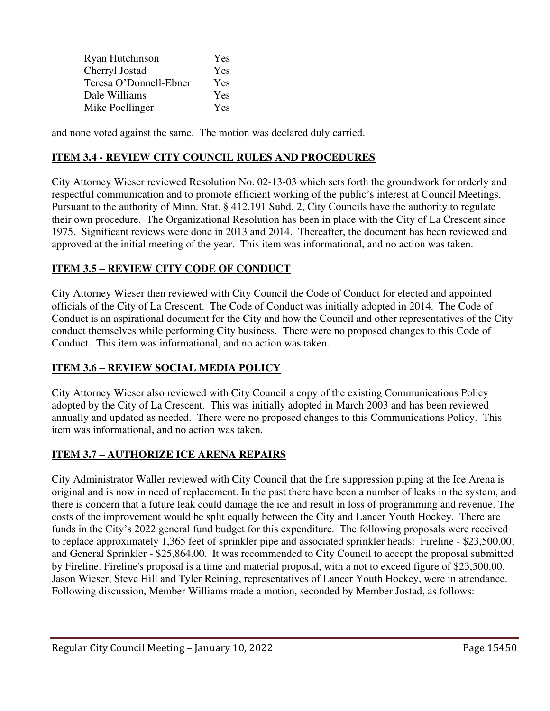| Ryan Hutchinson        | Yes        |
|------------------------|------------|
| Cherryl Jostad         | Yes        |
| Teresa O'Donnell-Ebner | Yes        |
| Dale Williams          | Yes        |
| Mike Poellinger        | <b>Yes</b> |

and none voted against the same. The motion was declared duly carried.

## **ITEM 3.4 - REVIEW CITY COUNCIL RULES AND PROCEDURES**

City Attorney Wieser reviewed Resolution No. 02-13-03 which sets forth the groundwork for orderly and respectful communication and to promote efficient working of the public's interest at Council Meetings. Pursuant to the authority of Minn. Stat. § 412.191 Subd. 2, City Councils have the authority to regulate their own procedure. The Organizational Resolution has been in place with the City of La Crescent since 1975. Significant reviews were done in 2013 and 2014. Thereafter, the document has been reviewed and approved at the initial meeting of the year. This item was informational, and no action was taken.

# **ITEM 3.5 – REVIEW CITY CODE OF CONDUCT**

City Attorney Wieser then reviewed with City Council the Code of Conduct for elected and appointed officials of the City of La Crescent. The Code of Conduct was initially adopted in 2014. The Code of Conduct is an aspirational document for the City and how the Council and other representatives of the City conduct themselves while performing City business. There were no proposed changes to this Code of Conduct. This item was informational, and no action was taken.

## **ITEM 3.6 – REVIEW SOCIAL MEDIA POLICY**

City Attorney Wieser also reviewed with City Council a copy of the existing Communications Policy adopted by the City of La Crescent. This was initially adopted in March 2003 and has been reviewed annually and updated as needed. There were no proposed changes to this Communications Policy. This item was informational, and no action was taken.

# **ITEM 3.7 – AUTHORIZE ICE ARENA REPAIRS**

City Administrator Waller reviewed with City Council that the fire suppression piping at the Ice Arena is original and is now in need of replacement. In the past there have been a number of leaks in the system, and there is concern that a future leak could damage the ice and result in loss of programming and revenue. The costs of the improvement would be split equally between the City and Lancer Youth Hockey. There are funds in the City's 2022 general fund budget for this expenditure. The following proposals were received to replace approximately 1,365 feet of sprinkler pipe and associated sprinkler heads: Fireline - \$23,500.00; and General Sprinkler - \$25,864.00. It was recommended to City Council to accept the proposal submitted by Fireline. Fireline's proposal is a time and material proposal, with a not to exceed figure of \$23,500.00. Jason Wieser, Steve Hill and Tyler Reining, representatives of Lancer Youth Hockey, were in attendance. Following discussion, Member Williams made a motion, seconded by Member Jostad, as follows: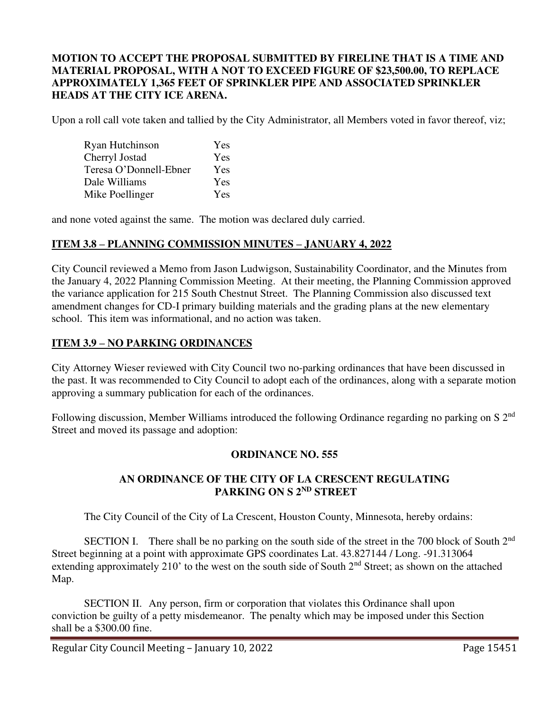### **MOTION TO ACCEPT THE PROPOSAL SUBMITTED BY FIRELINE THAT IS A TIME AND MATERIAL PROPOSAL, WITH A NOT TO EXCEED FIGURE OF \$23,500.00, TO REPLACE APPROXIMATELY 1,365 FEET OF SPRINKLER PIPE AND ASSOCIATED SPRINKLER HEADS AT THE CITY ICE ARENA.**

Upon a roll call vote taken and tallied by the City Administrator, all Members voted in favor thereof, viz;

| Ryan Hutchinson        | Yes |
|------------------------|-----|
| Cherryl Jostad         | Yes |
| Teresa O'Donnell-Ebner | Yes |
| Dale Williams          | Yes |
| Mike Poellinger        | Yes |

and none voted against the same. The motion was declared duly carried.

## **ITEM 3.8 – PLANNING COMMISSION MINUTES – JANUARY 4, 2022**

City Council reviewed a Memo from Jason Ludwigson, Sustainability Coordinator, and the Minutes from the January 4, 2022 Planning Commission Meeting. At their meeting, the Planning Commission approved the variance application for 215 South Chestnut Street. The Planning Commission also discussed text amendment changes for CD-I primary building materials and the grading plans at the new elementary school. This item was informational, and no action was taken.

## **ITEM 3.9 – NO PARKING ORDINANCES**

City Attorney Wieser reviewed with City Council two no-parking ordinances that have been discussed in the past. It was recommended to City Council to adopt each of the ordinances, along with a separate motion approving a summary publication for each of the ordinances.

Following discussion, Member Williams introduced the following Ordinance regarding no parking on S 2<sup>nd</sup> Street and moved its passage and adoption:

## **ORDINANCE NO. 555**

## **AN ORDINANCE OF THE CITY OF LA CRESCENT REGULATING PARKING ON S 2<sup>ND</sup> STREET**

The City Council of the City of La Crescent, Houston County, Minnesota, hereby ordains:

SECTION I. There shall be no parking on the south side of the street in the 700 block of South 2<sup>nd</sup> Street beginning at a point with approximate GPS coordinates Lat. 43.827144 / Long. -91.313064 extending approximately 210' to the west on the south side of South 2<sup>nd</sup> Street; as shown on the attached Map.

 SECTION II. Any person, firm or corporation that violates this Ordinance shall upon conviction be guilty of a petty misdemeanor. The penalty which may be imposed under this Section shall be a \$300.00 fine.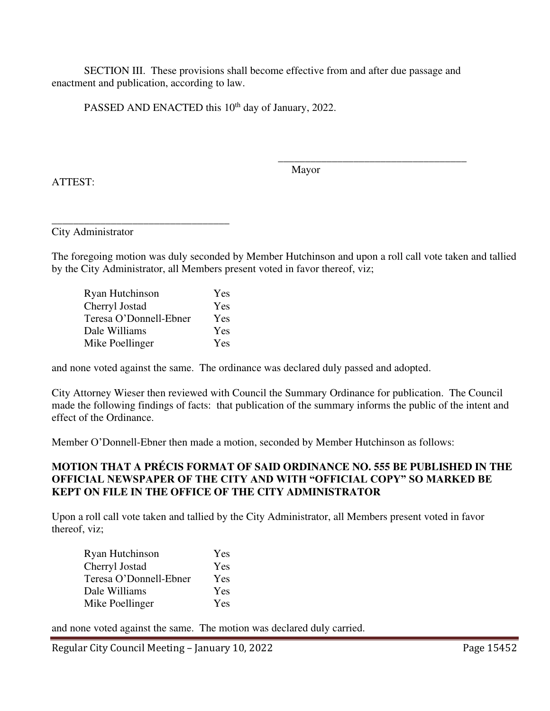SECTION III. These provisions shall become effective from and after due passage and enactment and publication, according to law.

PASSED AND ENACTED this 10<sup>th</sup> day of January, 2022.

ATTEST:

 $\overline{\phantom{a}}$  , which is a set of the set of the set of the set of the set of the set of the set of the set of the set of the set of the set of the set of the set of the set of the set of the set of the set of the set of th Mayor

City Administrator

The foregoing motion was duly seconded by Member Hutchinson and upon a roll call vote taken and tallied by the City Administrator, all Members present voted in favor thereof, viz;

| Ryan Hutchinson        | Yes |
|------------------------|-----|
| Cherryl Jostad         | Yes |
| Teresa O'Donnell-Ebner | Yes |
| Dale Williams          | Yes |
| Mike Poellinger        | Yes |

\_\_\_\_\_\_\_\_\_\_\_\_\_\_\_\_\_\_\_\_\_\_\_\_\_\_\_\_\_\_\_\_\_

and none voted against the same. The ordinance was declared duly passed and adopted.

City Attorney Wieser then reviewed with Council the Summary Ordinance for publication. The Council made the following findings of facts: that publication of the summary informs the public of the intent and effect of the Ordinance.

Member O'Donnell-Ebner then made a motion, seconded by Member Hutchinson as follows:

## **MOTION THAT A PRÉCIS FORMAT OF SAID ORDINANCE NO. 555 BE PUBLISHED IN THE OFFICIAL NEWSPAPER OF THE CITY AND WITH "OFFICIAL COPY" SO MARKED BE KEPT ON FILE IN THE OFFICE OF THE CITY ADMINISTRATOR**

Upon a roll call vote taken and tallied by the City Administrator, all Members present voted in favor thereof, viz;

| Ryan Hutchinson        | Yes        |
|------------------------|------------|
| Cherryl Jostad         | Yes        |
| Teresa O'Donnell-Ebner | Yes        |
| Dale Williams          | <b>Yes</b> |
| Mike Poellinger        | Yes        |

and none voted against the same. The motion was declared duly carried.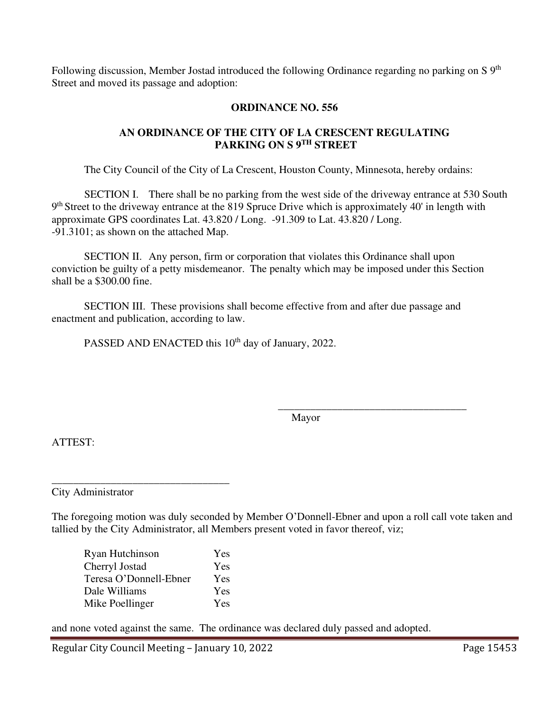Following discussion, Member Jostad introduced the following Ordinance regarding no parking on S 9<sup>th</sup> Street and moved its passage and adoption:

## **ORDINANCE NO. 556**

## **AN ORDINANCE OF THE CITY OF LA CRESCENT REGULATING PARKING ON S 9TH STREET**

The City Council of the City of La Crescent, Houston County, Minnesota, hereby ordains:

SECTION I. There shall be no parking from the west side of the driveway entrance at 530 South 9<sup>th</sup> Street to the driveway entrance at the 819 Spruce Drive which is approximately 40' in length with approximate GPS coordinates Lat. 43.820 / Long. -91.309 to Lat. 43.820 / Long. -91.3101; as shown on the attached Map.

 SECTION II. Any person, firm or corporation that violates this Ordinance shall upon conviction be guilty of a petty misdemeanor. The penalty which may be imposed under this Section shall be a \$300.00 fine.

 SECTION III. These provisions shall become effective from and after due passage and enactment and publication, according to law.

PASSED AND ENACTED this 10<sup>th</sup> day of January, 2022.

 $\overline{\phantom{a}}$  , which is a set of the set of the set of the set of the set of the set of the set of the set of the set of the set of the set of the set of the set of the set of the set of the set of the set of the set of th Mayor

ATTEST:

City Administrator

The foregoing motion was duly seconded by Member O'Donnell-Ebner and upon a roll call vote taken and tallied by the City Administrator, all Members present voted in favor thereof, viz;

| Ryan Hutchinson        | Yes        |
|------------------------|------------|
| Cherryl Jostad         | Yes        |
| Teresa O'Donnell-Ebner | Yes        |
| Dale Williams          | <b>Yes</b> |
| Mike Poellinger        | Yes        |

\_\_\_\_\_\_\_\_\_\_\_\_\_\_\_\_\_\_\_\_\_\_\_\_\_\_\_\_\_\_\_\_\_

and none voted against the same. The ordinance was declared duly passed and adopted.

Regular City Council Meeting – January 10, 2022 Page 15453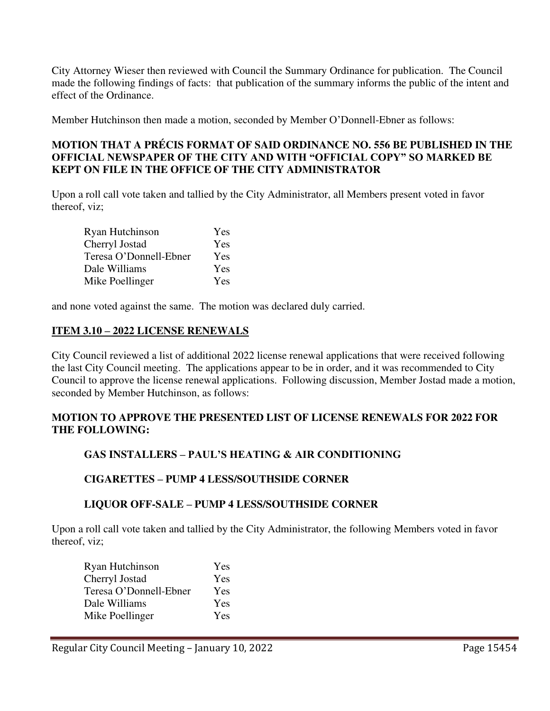City Attorney Wieser then reviewed with Council the Summary Ordinance for publication. The Council made the following findings of facts: that publication of the summary informs the public of the intent and effect of the Ordinance.

Member Hutchinson then made a motion, seconded by Member O'Donnell-Ebner as follows:

### **MOTION THAT A PRÉCIS FORMAT OF SAID ORDINANCE NO. 556 BE PUBLISHED IN THE OFFICIAL NEWSPAPER OF THE CITY AND WITH "OFFICIAL COPY" SO MARKED BE KEPT ON FILE IN THE OFFICE OF THE CITY ADMINISTRATOR**

Upon a roll call vote taken and tallied by the City Administrator, all Members present voted in favor thereof, viz;

| Ryan Hutchinson        | Yes        |
|------------------------|------------|
| Cherryl Jostad         | Yes        |
| Teresa O'Donnell-Ebner | Yes        |
| Dale Williams          | <b>Yes</b> |
| Mike Poellinger        | Yes        |

and none voted against the same. The motion was declared duly carried.

### **ITEM 3.10 – 2022 LICENSE RENEWALS**

City Council reviewed a list of additional 2022 license renewal applications that were received following the last City Council meeting. The applications appear to be in order, and it was recommended to City Council to approve the license renewal applications. Following discussion, Member Jostad made a motion, seconded by Member Hutchinson, as follows:

## **MOTION TO APPROVE THE PRESENTED LIST OF LICENSE RENEWALS FOR 2022 FOR THE FOLLOWING:**

## **GAS INSTALLERS – PAUL'S HEATING & AIR CONDITIONING**

#### **CIGARETTES – PUMP 4 LESS/SOUTHSIDE CORNER**

## **LIQUOR OFF-SALE – PUMP 4 LESS/SOUTHSIDE CORNER**

Upon a roll call vote taken and tallied by the City Administrator, the following Members voted in favor thereof, viz;

| Ryan Hutchinson        | Yes        |
|------------------------|------------|
| Cherryl Jostad         | Yes        |
| Teresa O'Donnell-Ebner | Yes        |
| Dale Williams          | Yes        |
| Mike Poellinger        | <b>Yes</b> |
|                        |            |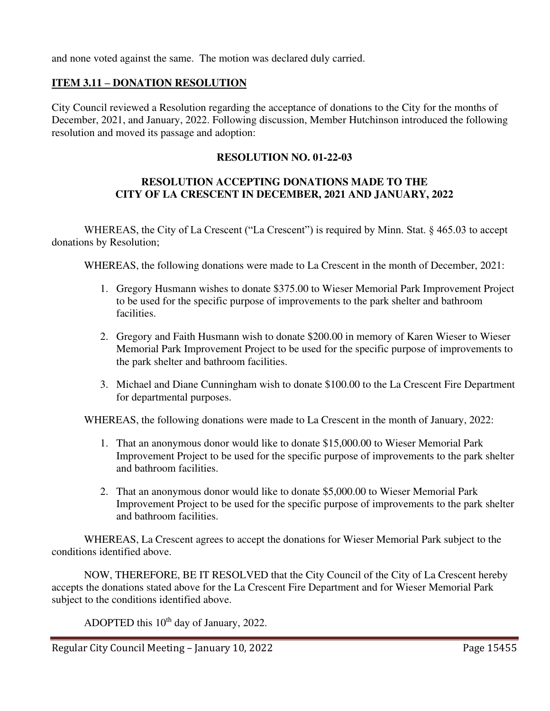and none voted against the same. The motion was declared duly carried.

## **ITEM 3.11 – DONATION RESOLUTION**

City Council reviewed a Resolution regarding the acceptance of donations to the City for the months of December, 2021, and January, 2022. Following discussion, Member Hutchinson introduced the following resolution and moved its passage and adoption:

## **RESOLUTION NO. 01-22-03**

## **RESOLUTION ACCEPTING DONATIONS MADE TO THE CITY OF LA CRESCENT IN DECEMBER, 2021 AND JANUARY, 2022**

WHEREAS, the City of La Crescent ("La Crescent") is required by Minn. Stat. § 465.03 to accept donations by Resolution;

WHEREAS, the following donations were made to La Crescent in the month of December, 2021:

- 1. Gregory Husmann wishes to donate \$375.00 to Wieser Memorial Park Improvement Project to be used for the specific purpose of improvements to the park shelter and bathroom facilities.
- 2. Gregory and Faith Husmann wish to donate \$200.00 in memory of Karen Wieser to Wieser Memorial Park Improvement Project to be used for the specific purpose of improvements to the park shelter and bathroom facilities.
- 3. Michael and Diane Cunningham wish to donate \$100.00 to the La Crescent Fire Department for departmental purposes.

WHEREAS, the following donations were made to La Crescent in the month of January, 2022:

- 1. That an anonymous donor would like to donate \$15,000.00 to Wieser Memorial Park Improvement Project to be used for the specific purpose of improvements to the park shelter and bathroom facilities.
- 2. That an anonymous donor would like to donate \$5,000.00 to Wieser Memorial Park Improvement Project to be used for the specific purpose of improvements to the park shelter and bathroom facilities.

WHEREAS, La Crescent agrees to accept the donations for Wieser Memorial Park subject to the conditions identified above.

NOW, THEREFORE, BE IT RESOLVED that the City Council of the City of La Crescent hereby accepts the donations stated above for the La Crescent Fire Department and for Wieser Memorial Park subject to the conditions identified above.

ADOPTED this 10<sup>th</sup> day of January, 2022.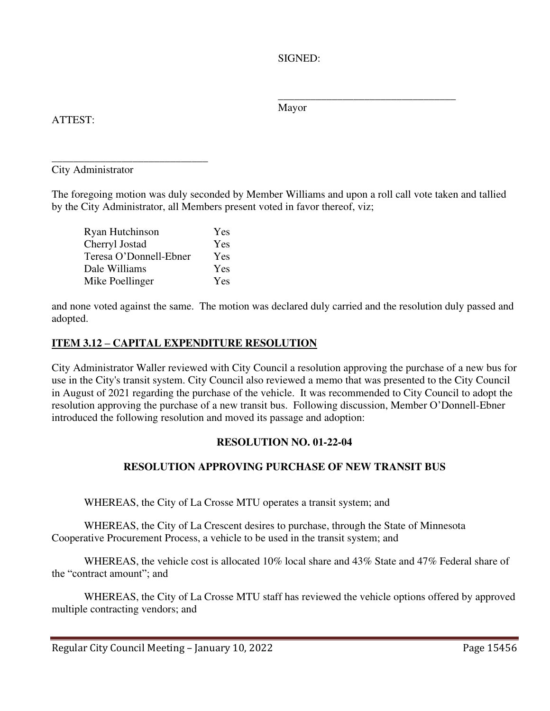SIGNED:

Mayor

 $\overline{\phantom{a}}$  , and the contract of the contract of the contract of the contract of the contract of the contract of the contract of the contract of the contract of the contract of the contract of the contract of the contrac

ATTEST:

\_\_\_\_\_\_\_\_\_\_\_\_\_\_\_\_\_\_\_\_\_\_\_\_\_\_\_\_\_ City Administrator

The foregoing motion was duly seconded by Member Williams and upon a roll call vote taken and tallied by the City Administrator, all Members present voted in favor thereof, viz;

| Ryan Hutchinson        | Yes |
|------------------------|-----|
| Cherryl Jostad         | Yes |
| Teresa O'Donnell-Ebner | Yes |
| Dale Williams          | Yes |
| Mike Poellinger        | Yes |

and none voted against the same. The motion was declared duly carried and the resolution duly passed and adopted.

# **ITEM 3.12 – CAPITAL EXPENDITURE RESOLUTION**

City Administrator Waller reviewed with City Council a resolution approving the purchase of a new bus for use in the City's transit system. City Council also reviewed a memo that was presented to the City Council in August of 2021 regarding the purchase of the vehicle. It was recommended to City Council to adopt the resolution approving the purchase of a new transit bus. Following discussion, Member O'Donnell-Ebner introduced the following resolution and moved its passage and adoption:

# **RESOLUTION NO. 01-22-04**

# **RESOLUTION APPROVING PURCHASE OF NEW TRANSIT BUS**

WHEREAS, the City of La Crosse MTU operates a transit system; and

 WHEREAS, the City of La Crescent desires to purchase, through the State of Minnesota Cooperative Procurement Process, a vehicle to be used in the transit system; and

 WHEREAS, the vehicle cost is allocated 10% local share and 43% State and 47% Federal share of the "contract amount"; and

 WHEREAS, the City of La Crosse MTU staff has reviewed the vehicle options offered by approved multiple contracting vendors; and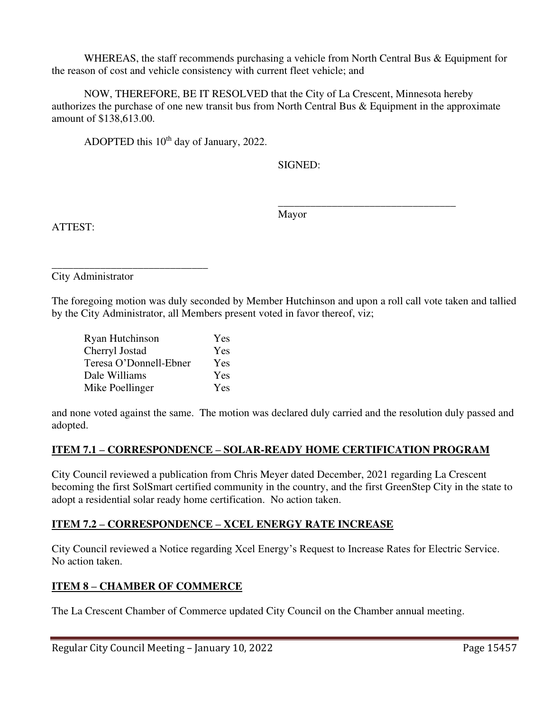WHEREAS, the staff recommends purchasing a vehicle from North Central Bus & Equipment for the reason of cost and vehicle consistency with current fleet vehicle; and

 NOW, THEREFORE, BE IT RESOLVED that the City of La Crescent, Minnesota hereby authorizes the purchase of one new transit bus from North Central Bus & Equipment in the approximate amount of \$138,613.00.

ADOPTED this 10<sup>th</sup> day of January, 2022.

SIGNED:

Mayor

 $\frac{1}{\sqrt{2\pi}}$  , which is a set of the set of the set of the set of the set of the set of the set of the set of the set of the set of the set of the set of the set of the set of the set of the set of the set of the set of

ATTEST:

\_\_\_\_\_\_\_\_\_\_\_\_\_\_\_\_\_\_\_\_\_\_\_\_\_\_\_\_\_ City Administrator

The foregoing motion was duly seconded by Member Hutchinson and upon a roll call vote taken and tallied by the City Administrator, all Members present voted in favor thereof, viz;

| Ryan Hutchinson        | Yes |
|------------------------|-----|
| Cherryl Jostad         | Yes |
| Teresa O'Donnell-Ebner | Yes |
| Dale Williams          | Yes |
| Mike Poellinger        | Yes |

and none voted against the same. The motion was declared duly carried and the resolution duly passed and adopted.

# **ITEM 7.1 – CORRESPONDENCE – SOLAR-READY HOME CERTIFICATION PROGRAM**

City Council reviewed a publication from Chris Meyer dated December, 2021 regarding La Crescent becoming the first SolSmart certified community in the country, and the first GreenStep City in the state to adopt a residential solar ready home certification. No action taken.

# **ITEM 7.2 – CORRESPONDENCE – XCEL ENERGY RATE INCREASE**

City Council reviewed a Notice regarding Xcel Energy's Request to Increase Rates for Electric Service. No action taken.

# **ITEM 8 – CHAMBER OF COMMERCE**

The La Crescent Chamber of Commerce updated City Council on the Chamber annual meeting.